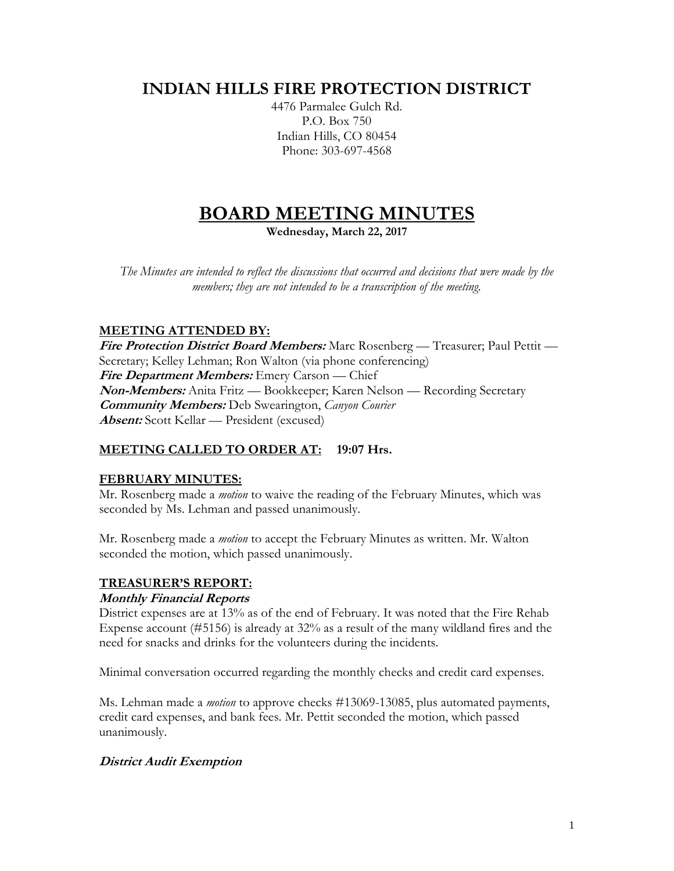# **INDIAN HILLS FIRE PROTECTION DISTRICT**

4476 Parmalee Gulch Rd. P.O. Box 750 Indian Hills, CO 80454 Phone: 303-697-4568

# **BOARD MEETING MINUTES**

**Wednesday, March 22, 2017**

*The Minutes are intended to reflect the discussions that occurred and decisions that were made by the members; they are not intended to be a transcription of the meeting.*

# **MEETING ATTENDED BY:**

**Fire Protection District Board Members:** Marc Rosenberg — Treasurer; Paul Pettit — Secretary; Kelley Lehman; Ron Walton (via phone conferencing) **Fire Department Members:** Emery Carson — Chief **Non-Members:** Anita Fritz — Bookkeeper; Karen Nelson — Recording Secretary **Community Members:** Deb Swearington, *Canyon Courier* **Absent:** Scott Kellar — President (excused)

#### **MEETING CALLED TO ORDER AT: 19:07 Hrs.**

#### **FEBRUARY MINUTES:**

Mr. Rosenberg made a *motion* to waive the reading of the February Minutes, which was seconded by Ms. Lehman and passed unanimously.

Mr. Rosenberg made a *motion* to accept the February Minutes as written. Mr. Walton seconded the motion, which passed unanimously.

# **TREASURER'S REPORT:**

#### **Monthly Financial Reports**

District expenses are at 13% as of the end of February. It was noted that the Fire Rehab Expense account (#5156) is already at 32% as a result of the many wildland fires and the need for snacks and drinks for the volunteers during the incidents.

Minimal conversation occurred regarding the monthly checks and credit card expenses.

Ms. Lehman made a *motion* to approve checks #13069-13085, plus automated payments, credit card expenses, and bank fees. Mr. Pettit seconded the motion, which passed unanimously.

#### **District Audit Exemption**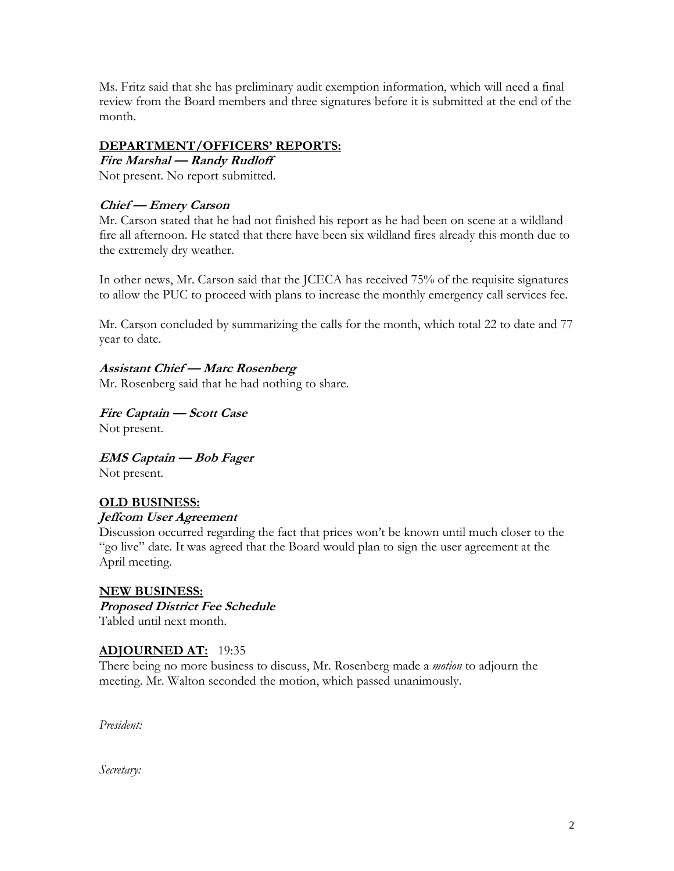Ms. Fritz said that she has preliminary audit exemption information, which will need a final review from the Board members and three signatures before it is submitted at the end of the month.

#### **DEPARTMENT/OFFICERS' REPORTS:**

**Fire Marshal — Randy Rudloff** Not present. No report submitted.

#### **Chief — Emery Carson**

Mr. Carson stated that he had not finished his report as he had been on scene at a wildland fire all afternoon. He stated that there have been six wildland fires already this month due to the extremely dry weather.

In other news, Mr. Carson said that the JCECA has received 75% of the requisite signatures to allow the PUC to proceed with plans to increase the monthly emergency call services fee.

Mr. Carson concluded by summarizing the calls for the month, which total 22 to date and 77 year to date.

### **Assistant Chief — Marc Rosenberg**

Mr. Rosenberg said that he had nothing to share.

**Fire Captain — Scott Case** Not present.

**EMS Captain — Bob Fager** Not present.

#### **OLD BUSINESS: Jeffcom User Agreement**

Discussion occurred regarding the fact that prices won't be known until much closer to the "go live" date. It was agreed that the Board would plan to sign the user agreement at the April meeting.

#### **NEW BUSINESS: Proposed District Fee Schedule** Tabled until next month.

#### **ADJOURNED AT:** 19:35

There being no more business to discuss, Mr. Rosenberg made a *motion* to adjourn the meeting. Mr. Walton seconded the motion, which passed unanimously.

*President:*

*Secretary:*